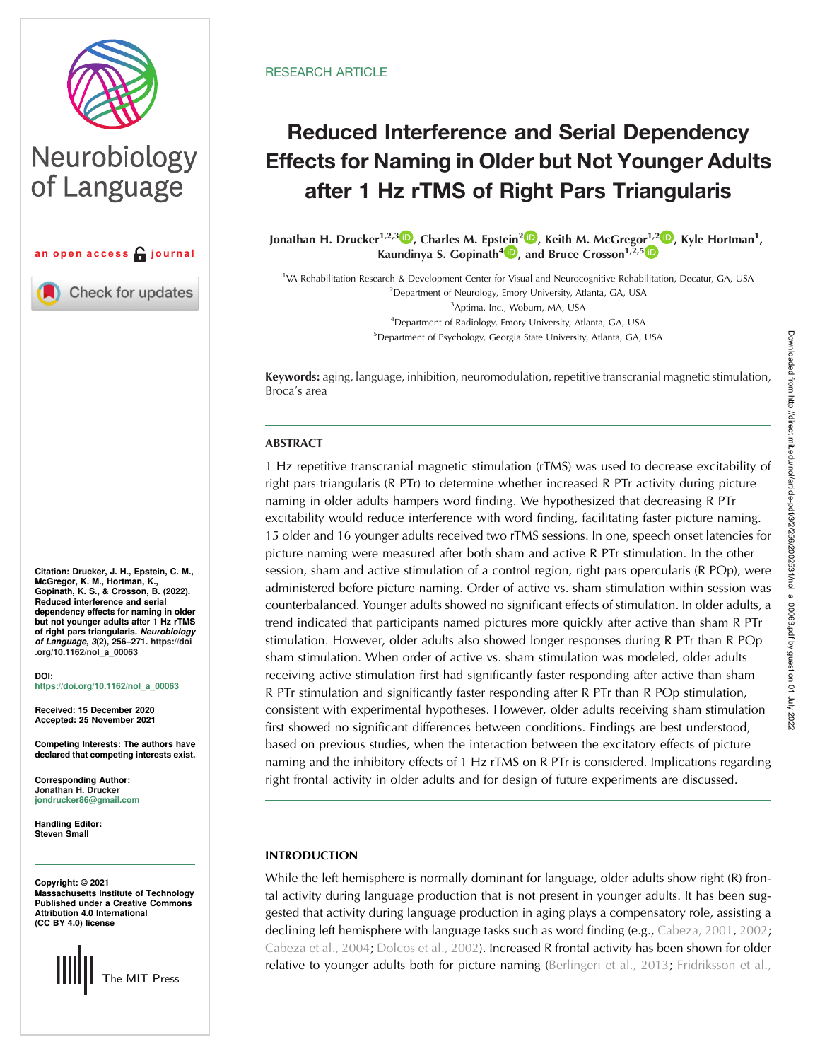

# Neurobiology of Language



**Check for updates** 

Citation: Drucker, J. H., Epstein, C. M., McGregor, K. M., Hortman, K., Gopinath, K. S., & Crosson, B. (2022). Reduced interference and serial dependency effects for naming in older but not younger adults after 1 Hz rTMS of right pars triangularis. Neurobiology of Language, 3(2), 256–271. [https://doi](https://doi.org/10.1162/nol_a_00063) [.org/10.1162/nol\\_a\\_00063](https://doi.org/10.1162/nol_a_00063)

DOI: [https://doi.org/10.1162/nol\\_a\\_00063](https://doi.org/10.1162/nol_a_00063)

Received: 15 December 2020 Accepted: 25 November 2021

Competing Interests: The authors have declared that competing interests exist.

Corresponding Author: Jonathan H. Drucker [jondrucker86@gmail.com](mailto:jondrucker86@gmail.com)

Handling Editor: Steven Small

Copyright: © 2021 Massachusetts Institute of Technology Published under a Creative Commons Attribution 4.0 International (CC BY 4.0) license



## **RESEARCH ARTICLE**

## Reduced Interference and Serial Dependency Effects for Naming in Older but Not Younger Adults after 1 Hz rTMS of Right Pars Triangularis

Jonathan H. Drucker<sup>1[,](https://orcid.org/0000-0001-8529-3874)2,3</sup> D, Charles M. Epst[ein](https://orcid.org/0000-0002-5801-6932)<sup>2</sup> D, Keith M. McG[r](https://orcid.org/0000-0002-3453-1374)egor<sup>1,2</sup> D, Kyle Hortman<sup>1</sup>, Kaundinya S. Gopinath<sup>4</sup><sup>1</sup>, and Bruce Crosson<sup>1,2,5</sup><sup>1</sup>

<sup>1</sup>VA Rehabilitation Research & Development Center for Visual and Neurocognitive Rehabilitation, Decatur, GA, USA <sup>2</sup> Department of Neurology, Emory University, Atlanta, GA, USA 3 Aptima, Inc., Woburn, MA, USA 4 Department of Radiology, Emory University, Atlanta, GA, USA <sup>5</sup> Department of Psychology, Georgia State University, Atlanta, GA, USA

Keywords: aging, language, inhibition, neuromodulation, repetitive transcranial magnetic stimulation, Broca's area

## ABSTRACT

1 Hz repetitive transcranial magnetic stimulation (rTMS) was used to decrease excitability of right pars triangularis (R PTr) to determine whether increased R PTr activity during picture naming in older adults hampers word finding. We hypothesized that decreasing R PTr excitability would reduce interference with word finding, facilitating faster picture naming. 15 older and 16 younger adults received two rTMS sessions. In one, speech onset latencies for picture naming were measured after both sham and active R PTr stimulation. In the other session, sham and active stimulation of a control region, right pars opercularis (R POp), were administered before picture naming. Order of active vs. sham stimulation within session was counterbalanced. Younger adults showed no significant effects of stimulation. In older adults, a trend indicated that participants named pictures more quickly after active than sham R PTr stimulation. However, older adults also showed longer responses during R PTr than R POp sham stimulation. When order of active vs. sham stimulation was modeled, older adults receiving active stimulation first had significantly faster responding after active than sham R PTr stimulation and significantly faster responding after R PTr than R POp stimulation, consistent with experimental hypotheses. However, older adults receiving sham stimulation first showed no significant differences between conditions. Findings are best understood, based on previous studies, when the interaction between the excitatory effects of picture naming and the inhibitory effects of 1 Hz rTMS on R PTr is considered. Implications regarding right frontal activity in older adults and for design of future experiments are discussed.

## INTRODUCTION

While the left hemisphere is normally dominant for language, older adults show right (R) frontal activity during language production that is not present in younger adults. It has been suggested that activity during language production in aging plays a compensatory role, assisting a declining left hemisphere with language tasks such as word finding (e.g., [Cabeza, 2001,](#page-13-0) [2002](#page-13-0); [Cabeza et al., 2004](#page-13-0); [Dolcos et al., 2002\)](#page-14-0). Increased R frontal activity has been shown for older relative to younger adults both for picture naming ([Berlingeri et al., 2013;](#page-13-0) [Fridriksson et al.,](#page-14-0)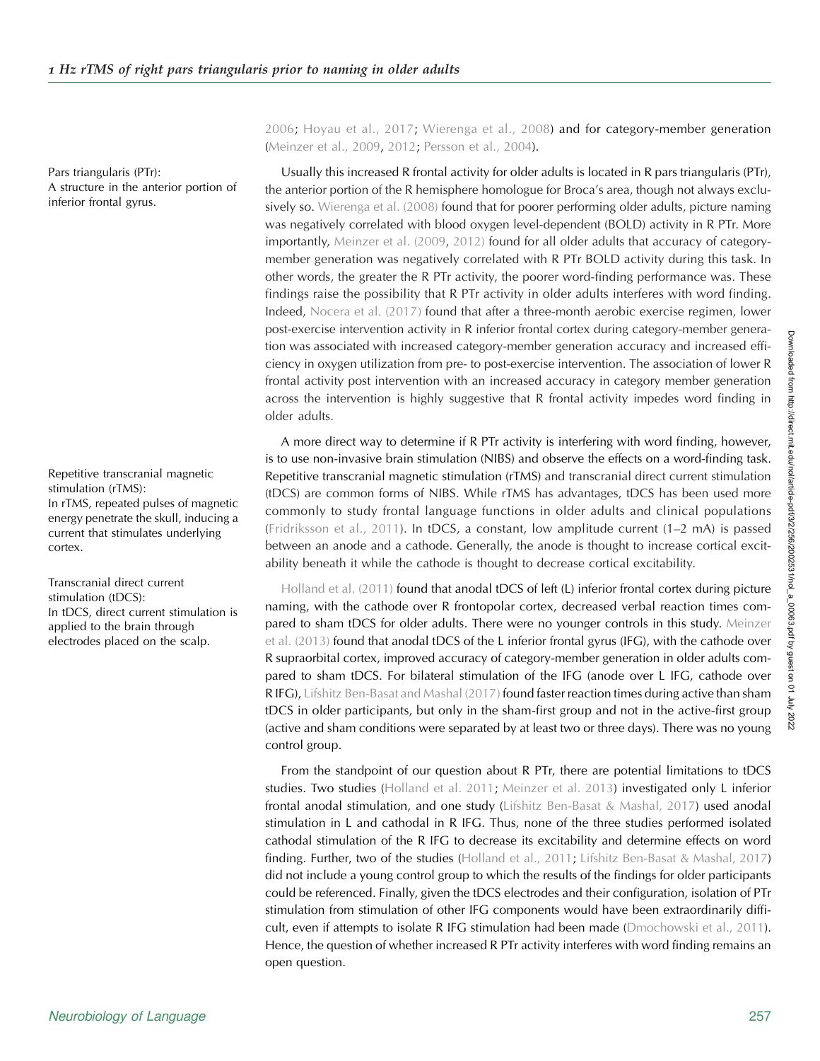Pars triangularis (PTr): A structure in the anterior portion of inferior frontal gyrus.

Repetitive transcranial magnetic stimulation (rTMS): In rTMS, repeated pulses of magnetic energy penetrate the skull, inducing a current that stimulates underlying cortex.

Transcranial direct current stimulation (tDCS): In tDCS, direct current stimulation is applied to the brain through electrodes placed on the scalp.

[2006;](#page-14-0) [Hoyau et al., 2017](#page-14-0); [Wierenga et al., 2008](#page-15-0)) and for category-member generation ([Meinzer et al., 2009](#page-14-0), [2012;](#page-14-0) [Persson et al., 2004](#page-14-0)).

Usually this increased R frontal activity for older adults is located in R pars triangularis (PTr), the anterior portion of the R hemisphere homologue for Broca's area, though not always exclu-sively so. [Wierenga et al. \(2008\)](#page-15-0) found that for poorer performing older adults, picture naming was negatively correlated with blood oxygen level-dependent (BOLD) activity in R PTr. More importantly, [Meinzer et al. \(2009,](#page-14-0) [2012\)](#page-14-0) found for all older adults that accuracy of categorymember generation was negatively correlated with R PTr BOLD activity during this task. In other words, the greater the R PTr activity, the poorer word-finding performance was. These findings raise the possibility that R PTr activity in older adults interferes with word finding. Indeed, [Nocera et al. \(2017\)](#page-14-0) found that after a three-month aerobic exercise regimen, lower post-exercise intervention activity in R inferior frontal cortex during category-member generation was associated with increased category-member generation accuracy and increased efficiency in oxygen utilization from pre- to post-exercise intervention. The association of lower R frontal activity post intervention with an increased accuracy in category member generation across the intervention is highly suggestive that R frontal activity impedes word finding in older adults.

A more direct way to determine if R PTr activity is interfering with word finding, however, is to use non-invasive brain stimulation (NIBS) and observe the effects on a word-finding task. Repetitive transcranial magnetic stimulation (rTMS) and transcranial direct current stimulation (tDCS) are common forms of NIBS. While rTMS has advantages, tDCS has been used more commonly to study frontal language functions in older adults and clinical populations ([Fridriksson et al., 2011\)](#page-14-0). In tDCS, a constant, low amplitude current (1–2 mA) is passed between an anode and a cathode. Generally, the anode is thought to increase cortical excitability beneath it while the cathode is thought to decrease cortical excitability.

[Holland et al. \(2011\)](#page-14-0) found that anodal tDCS of left (L) inferior frontal cortex during picture naming, with the cathode over R frontopolar cortex, decreased verbal reaction times compared to sham tDCS for older adults. There were no younger controls in this study. [Meinzer](#page-14-0) [et al. \(2013\)](#page-14-0) found that anodal tDCS of the L inferior frontal gyrus (IFG), with the cathode over R supraorbital cortex, improved accuracy of category-member generation in older adults compared to sham tDCS. For bilateral stimulation of the IFG (anode over L IFG, cathode over R IFG), [Lifshitz Ben-Basat and Mashal \(2017\)](#page-14-0) found faster reaction times during active than sham tDCS in older participants, but only in the sham-first group and not in the active-first group (active and sham conditions were separated by at least two or three days). There was no young control group.

From the standpoint of our question about R PTr, there are potential limitations to tDCS studies. Two studies [\(Holland et al. 2011](#page-14-0); [Meinzer et al. 2013](#page-14-0)) investigated only L inferior frontal anodal stimulation, and one study ([Lifshitz Ben-Basat & Mashal, 2017](#page-14-0)) used anodal stimulation in L and cathodal in R IFG. Thus, none of the three studies performed isolated cathodal stimulation of the R IFG to decrease its excitability and determine effects on word finding. Further, two of the studies ([Holland et al., 2011;](#page-14-0) [Lifshitz Ben-Basat & Mashal, 2017](#page-14-0)) did not include a young control group to which the results of the findings for older participants could be referenced. Finally, given the tDCS electrodes and their configuration, isolation of PTr stimulation from stimulation of other IFG components would have been extraordinarily difficult, even if attempts to isolate R IFG stimulation had been made [\(Dmochowski et al., 2011\)](#page-14-0). Hence, the question of whether increased R PTr activity interferes with word finding remains an open question.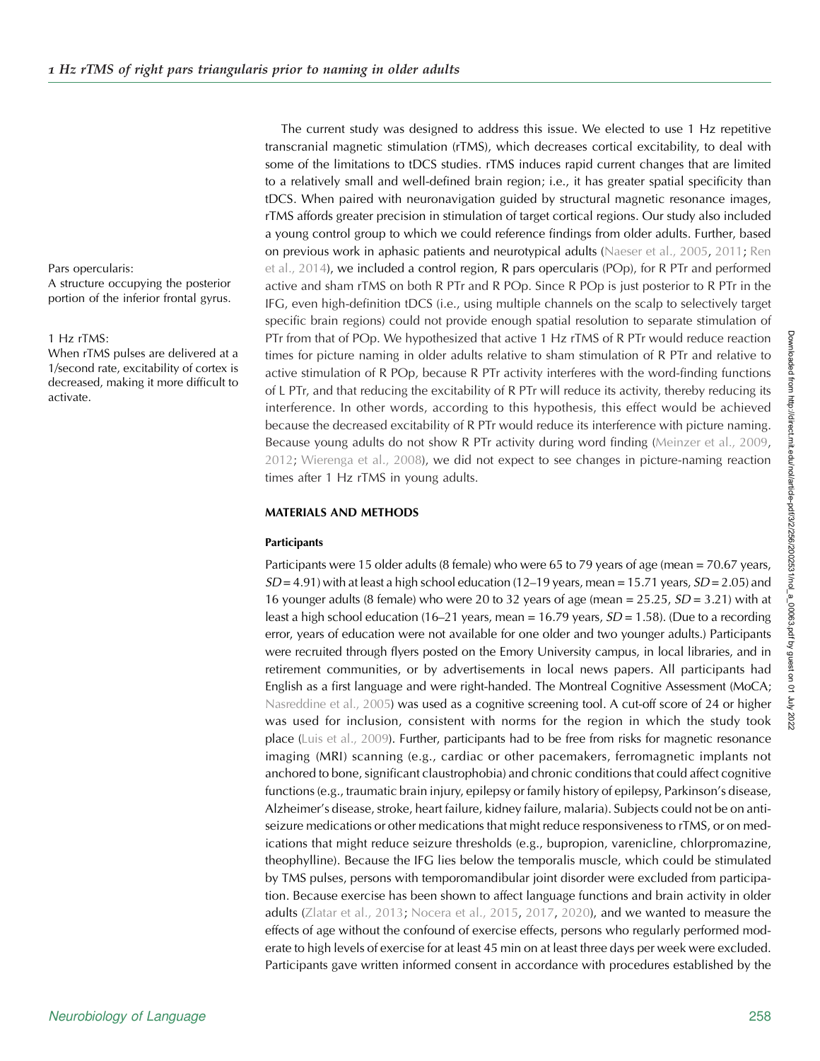Pars opercularis:

A structure occupying the posterior portion of the inferior frontal gyrus.

#### 1 Hz rTMS:

When rTMS pulses are delivered at a 1/second rate, excitability of cortex is decreased, making it more difficult to activate.

The current study was designed to address this issue. We elected to use 1 Hz repetitive transcranial magnetic stimulation (rTMS), which decreases cortical excitability, to deal with some of the limitations to tDCS studies. rTMS induces rapid current changes that are limited to a relatively small and well-defined brain region; i.e., it has greater spatial specificity than tDCS. When paired with neuronavigation guided by structural magnetic resonance images, rTMS affords greater precision in stimulation of target cortical regions. Our study also included a young control group to which we could reference findings from older adults. Further, based on previous work in aphasic patients and neurotypical adults [\(Naeser et al., 2005,](#page-14-0) [2011;](#page-14-0) [Ren](#page-15-0) [et al., 2014](#page-15-0)), we included a control region, R pars opercularis (POp), for R PTr and performed active and sham rTMS on both R PTr and R POp. Since R POp is just posterior to R PTr in the IFG, even high-definition tDCS (i.e., using multiple channels on the scalp to selectively target specific brain regions) could not provide enough spatial resolution to separate stimulation of PTr from that of POp. We hypothesized that active 1 Hz rTMS of R PTr would reduce reaction times for picture naming in older adults relative to sham stimulation of R PTr and relative to active stimulation of R POp, because R PTr activity interferes with the word-finding functions of L PTr, and that reducing the excitability of R PTr will reduce its activity, thereby reducing its interference. In other words, according to this hypothesis, this effect would be achieved because the decreased excitability of R PTr would reduce its interference with picture naming. Because young adults do not show R PTr activity during word finding ([Meinzer et al., 2009](#page-14-0), [2012;](#page-14-0) [Wierenga et al., 2008](#page-15-0)), we did not expect to see changes in picture-naming reaction times after 1 Hz rTMS in young adults.

## MATERIALS AND METHODS

#### **Participants**

Participants were 15 older adults (8 female) who were 65 to 79 years of age (mean = 70.67 years,  $SD = 4.91$ ) with at least a high school education (12–19 years, mean = 15.71 years,  $SD = 2.05$ ) and 16 younger adults (8 female) who were 20 to 32 years of age (mean  $=$  25.25,  $SD = 3.21$ ) with at least a high school education (16–21 years, mean = 16.79 years,  $SD = 1.58$ ). (Due to a recording error, years of education were not available for one older and two younger adults.) Participants were recruited through flyers posted on the Emory University campus, in local libraries, and in retirement communities, or by advertisements in local news papers. All participants had English as a first language and were right-handed. The Montreal Cognitive Assessment (MoCA; [Nasreddine et al., 2005\)](#page-14-0) was used as a cognitive screening tool. A cut-off score of 24 or higher was used for inclusion, consistent with norms for the region in which the study took place [\(Luis et al., 2009](#page-14-0)). Further, participants had to be free from risks for magnetic resonance imaging (MRI) scanning (e.g., cardiac or other pacemakers, ferromagnetic implants not anchored to bone, significant claustrophobia) and chronic conditions that could affect cognitive functions (e.g., traumatic brain injury, epilepsy or family history of epilepsy, Parkinson's disease, Alzheimer's disease, stroke, heart failure, kidney failure, malaria). Subjects could not be on antiseizure medications or other medications that might reduce responsiveness to rTMS, or on medications that might reduce seizure thresholds (e.g., bupropion, varenicline, chlorpromazine, theophylline). Because the IFG lies below the temporalis muscle, which could be stimulated by TMS pulses, persons with temporomandibular joint disorder were excluded from participation. Because exercise has been shown to affect language functions and brain activity in older adults ([Zlatar et al., 2013;](#page-15-0) [Nocera et al., 2015](#page-14-0), [2017,](#page-14-0) [2020\)](#page-14-0), and we wanted to measure the effects of age without the confound of exercise effects, persons who regularly performed moderate to high levels of exercise for at least 45 min on at least three days per week were excluded. Participants gave written informed consent in accordance with procedures established by the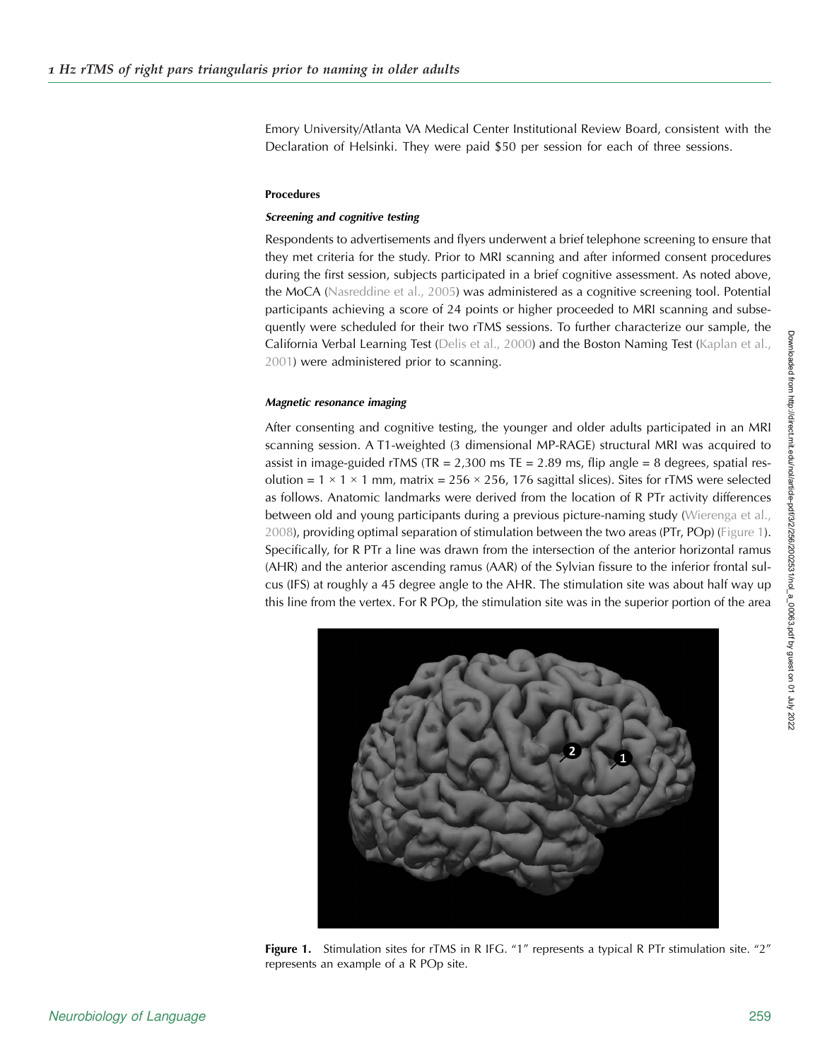Emory University/Atlanta VA Medical Center Institutional Review Board, consistent with the Declaration of Helsinki. They were paid \$50 per session for each of three sessions.

#### Procedures

#### Screening and cognitive testing

Respondents to advertisements and flyers underwent a brief telephone screening to ensure that they met criteria for the study. Prior to MRI scanning and after informed consent procedures during the first session, subjects participated in a brief cognitive assessment. As noted above, the MoCA ([Nasreddine et al., 2005\)](#page-14-0) was administered as a cognitive screening tool. Potential participants achieving a score of 24 points or higher proceeded to MRI scanning and subsequently were scheduled for their two rTMS sessions. To further characterize our sample, the California Verbal Learning Test ([Delis et al., 2000](#page-13-0)) and the Boston Naming Test [\(Kaplan et al.,](#page-14-0) [2001\)](#page-14-0) were administered prior to scanning.

### Magnetic resonance imaging

After consenting and cognitive testing, the younger and older adults participated in an MRI scanning session. A T1-weighted (3 dimensional MP-RAGE) structural MRI was acquired to assist in image-guided rTMS (TR =  $2,300$  ms TE =  $2.89$  ms, flip angle =  $8$  degrees, spatial resolution =  $1 \times 1 \times 1$  mm, matrix =  $256 \times 256$ , 176 sagittal slices). Sites for rTMS were selected as follows. Anatomic landmarks were derived from the location of R PTr activity differences between old and young participants during a previous picture-naming study ([Wierenga et al.,](#page-15-0) [2008\)](#page-15-0), providing optimal separation of stimulation between the two areas (PTr, POp) (Figure 1). Specifically, for R PTr a line was drawn from the intersection of the anterior horizontal ramus (AHR) and the anterior ascending ramus (AAR) of the Sylvian fissure to the inferior frontal sulcus (IFS) at roughly a 45 degree angle to the AHR. The stimulation site was about half way up this line from the vertex. For R POp, the stimulation site was in the superior portion of the area



Figure 1. Stimulation sites for rTMS in R IFG. "1" represents a typical R PTr stimulation site. "2" represents an example of a R POp site.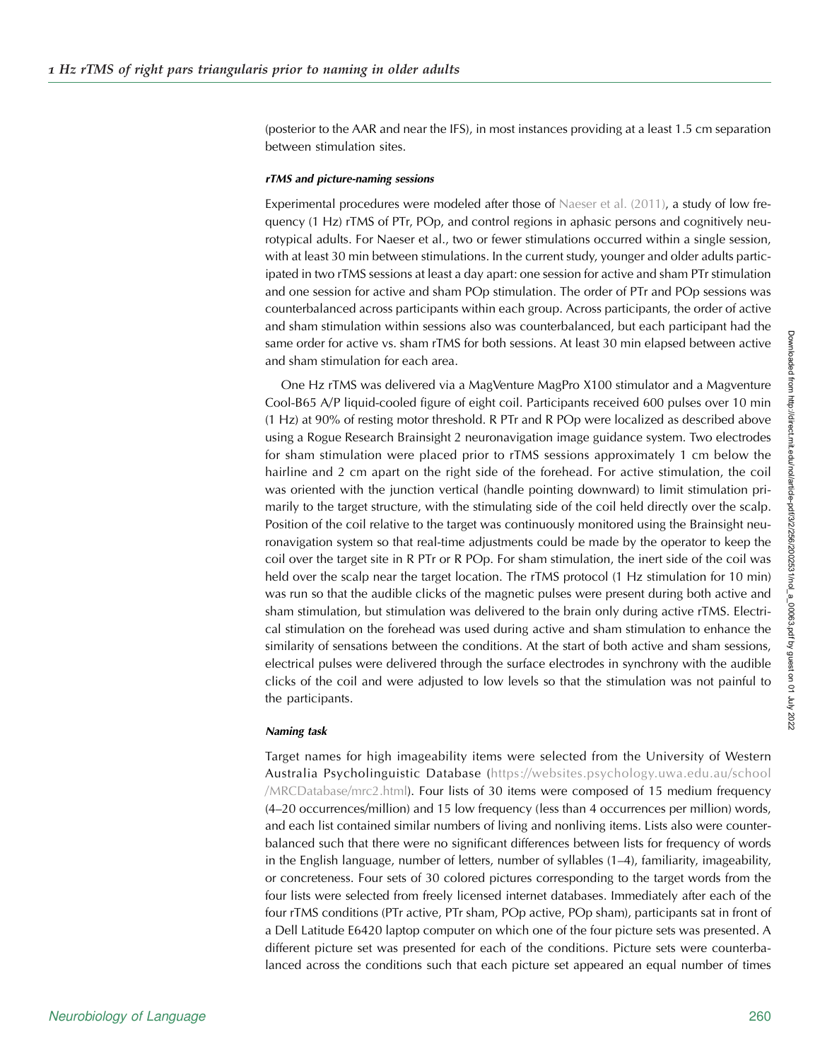(posterior to the AAR and near the IFS), in most instances providing at a least 1.5 cm separation between stimulation sites.

#### rTMS and picture-naming sessions

Experimental procedures were modeled after those of [Naeser et al. \(2011\),](#page-14-0) a study of low frequency (1 Hz) rTMS of PTr, POp, and control regions in aphasic persons and cognitively neurotypical adults. For Naeser et al., two or fewer stimulations occurred within a single session, with at least 30 min between stimulations. In the current study, younger and older adults participated in two rTMS sessions at least a day apart: one session for active and sham PTr stimulation and one session for active and sham POp stimulation. The order of PTr and POp sessions was counterbalanced across participants within each group. Across participants, the order of active and sham stimulation within sessions also was counterbalanced, but each participant had the same order for active vs. sham rTMS for both sessions. At least 30 min elapsed between active and sham stimulation for each area.

One Hz rTMS was delivered via a MagVenture MagPro X100 stimulator and a Magventure Cool-B65 A/P liquid-cooled figure of eight coil. Participants received 600 pulses over 10 min (1 Hz) at 90% of resting motor threshold. R PTr and R POp were localized as described above using a Rogue Research Brainsight 2 neuronavigation image guidance system. Two electrodes for sham stimulation were placed prior to rTMS sessions approximately 1 cm below the hairline and 2 cm apart on the right side of the forehead. For active stimulation, the coil was oriented with the junction vertical (handle pointing downward) to limit stimulation primarily to the target structure, with the stimulating side of the coil held directly over the scalp. Position of the coil relative to the target was continuously monitored using the Brainsight neuronavigation system so that real-time adjustments could be made by the operator to keep the coil over the target site in R PTr or R POp. For sham stimulation, the inert side of the coil was held over the scalp near the target location. The rTMS protocol (1 Hz stimulation for 10 min) was run so that the audible clicks of the magnetic pulses were present during both active and sham stimulation, but stimulation was delivered to the brain only during active rTMS. Electrical stimulation on the forehead was used during active and sham stimulation to enhance the similarity of sensations between the conditions. At the start of both active and sham sessions, electrical pulses were delivered through the surface electrodes in synchrony with the audible clicks of the coil and were adjusted to low levels so that the stimulation was not painful to the participants.

## Naming task

Target names for high imageability items were selected from the University of Western Australia Psycholinguistic Database ([https://websites.psychology.uwa.edu.au/school](http://websites.psychology.uwa.edu.au/school/MRCDatabase/mrc2.html) [/MRCDatabase/mrc2.html](http://websites.psychology.uwa.edu.au/school/MRCDatabase/mrc2.html)). Four lists of 30 items were composed of 15 medium frequency (4–20 occurrences/million) and 15 low frequency (less than 4 occurrences per million) words, and each list contained similar numbers of living and nonliving items. Lists also were counterbalanced such that there were no significant differences between lists for frequency of words in the English language, number of letters, number of syllables (1–4), familiarity, imageability, or concreteness. Four sets of 30 colored pictures corresponding to the target words from the four lists were selected from freely licensed internet databases. Immediately after each of the four rTMS conditions (PTr active, PTr sham, POp active, POp sham), participants sat in front of a Dell Latitude E6420 laptop computer on which one of the four picture sets was presented. A different picture set was presented for each of the conditions. Picture sets were counterbalanced across the conditions such that each picture set appeared an equal number of times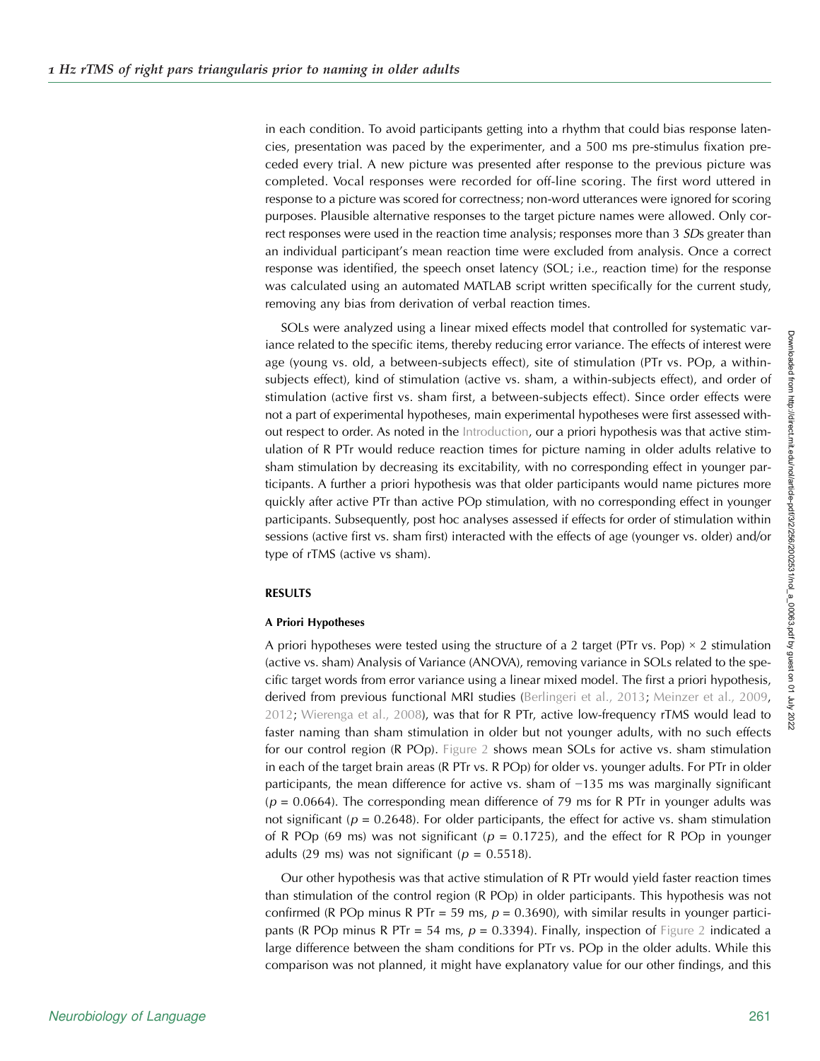in each condition. To avoid participants getting into a rhythm that could bias response latencies, presentation was paced by the experimenter, and a 500 ms pre-stimulus fixation preceded every trial. A new picture was presented after response to the previous picture was completed. Vocal responses were recorded for off-line scoring. The first word uttered in response to a picture was scored for correctness; non-word utterances were ignored for scoring purposes. Plausible alternative responses to the target picture names were allowed. Only correct responses were used in the reaction time analysis; responses more than 3 *SD*s greater than an individual participant's mean reaction time were excluded from analysis. Once a correct response was identified, the speech onset latency (SOL; i.e., reaction time) for the response was calculated using an automated MATLAB script written specifically for the current study, removing any bias from derivation of verbal reaction times.

SOLs were analyzed using a linear mixed effects model that controlled for systematic variance related to the specific items, thereby reducing error variance. The effects of interest were age (young vs. old, a between-subjects effect), site of stimulation (PTr vs. POp, a withinsubjects effect), kind of stimulation (active vs. sham, a within-subjects effect), and order of stimulation (active first vs. sham first, a between-subjects effect). Since order effects were not a part of experimental hypotheses, main experimental hypotheses were first assessed without respect to order. As noted in the Introduction, our a priori hypothesis was that active stimulation of R PTr would reduce reaction times for picture naming in older adults relative to sham stimulation by decreasing its excitability, with no corresponding effect in younger participants. A further a priori hypothesis was that older participants would name pictures more quickly after active PTr than active POp stimulation, with no corresponding effect in younger participants. Subsequently, post hoc analyses assessed if effects for order of stimulation within sessions (active first vs. sham first) interacted with the effects of age (younger vs. older) and/or type of rTMS (active vs sham).

## RESULTS

## A Priori Hypotheses

A priori hypotheses were tested using the structure of a 2 target (PTr vs. Pop)  $\times$  2 stimulation (active vs. sham) Analysis of Variance (ANOVA), removing variance in SOLs related to the specific target words from error variance using a linear mixed model. The first a priori hypothesis, derived from previous functional MRI studies [\(Berlingeri et al., 2013](#page-13-0); [Meinzer et al., 2009](#page-14-0), [2012;](#page-14-0) [Wierenga et al., 2008](#page-15-0)), was that for R PTr, active low-frequency rTMS would lead to faster naming than sham stimulation in older but not younger adults, with no such effects for our control region (R POp). [Figure 2](#page-6-0) shows mean SOLs for active vs. sham stimulation in each of the target brain areas (R PTr vs. R POp) for older vs. younger adults. For PTr in older participants, the mean difference for active vs. sham of −135 ms was marginally significant  $(p = 0.0664)$ . The corresponding mean difference of 79 ms for R PTr in younger adults was not significant ( $p = 0.2648$ ). For older participants, the effect for active vs. sham stimulation of R POp (69 ms) was not significant ( $p = 0.1725$ ), and the effect for R POp in younger adults (29 ms) was not significant ( $p = 0.5518$ ).

Our other hypothesis was that active stimulation of R PTr would yield faster reaction times than stimulation of the control region (R POp) in older participants. This hypothesis was not confirmed (R POp minus R PTr = 59 ms,  $p = 0.3690$ ), with similar results in younger participants (R POp minus R PTr = 54 ms,  $p = 0.3394$ ). Finally, inspection of [Figure 2](#page-6-0) indicated a large difference between the sham conditions for PTr vs. POp in the older adults. While this comparison was not planned, it might have explanatory value for our other findings, and this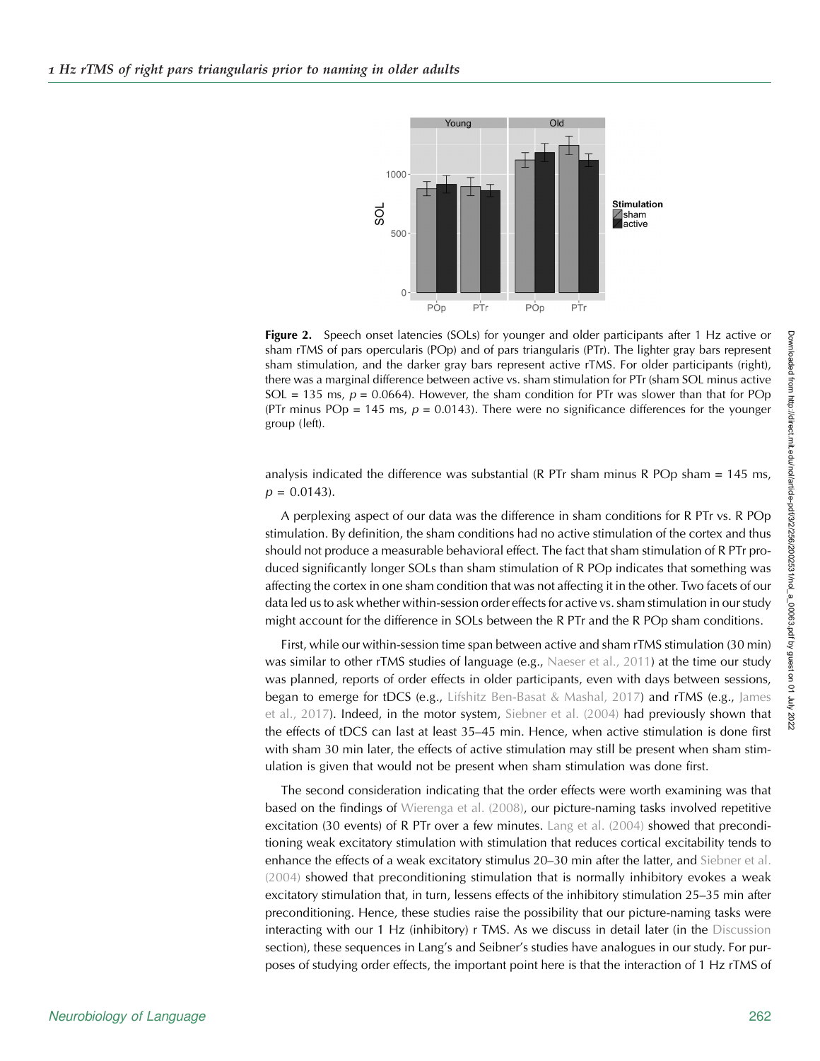<span id="page-6-0"></span>

**Figure 2.** Speech onset latencies (SOLs) for younger and older participants after 1 Hz active or sham rTMS of pars opercularis (POp) and of pars triangularis (PTr). The lighter gray bars represent sham stimulation, and the darker gray bars represent active rTMS. For older participants (right), there was a marginal difference between active vs. sham stimulation for PTr (sham SOL minus active SOL = 135 ms,  $p = 0.0664$ ). However, the sham condition for PTr was slower than that for POp (PTr minus POp = 145 ms,  $p = 0.0143$ ). There were no significance differences for the younger group (left).

analysis indicated the difference was substantial (R PTr sham minus R POp sham = 145 ms,  $p = 0.0143$ .

A perplexing aspect of our data was the difference in sham conditions for R PTr vs. R POp stimulation. By definition, the sham conditions had no active stimulation of the cortex and thus should not produce a measurable behavioral effect. The fact that sham stimulation of R PTr produced significantly longer SOLs than sham stimulation of R POp indicates that something was affecting the cortex in one sham condition that was not affecting it in the other. Two facets of our data led us to ask whether within-session order effects for active vs. sham stimulation in our study might account for the difference in SOLs between the R PTr and the R POp sham conditions.

First, while our within-session time span between active and sham rTMS stimulation (30 min) was similar to other rTMS studies of language (e.g., [Naeser et al., 2011](#page-14-0)) at the time our study was planned, reports of order effects in older participants, even with days between sessions, began to emerge for tDCS (e.g., [Lifshitz Ben-Basat & Mashal, 2017](#page-14-0)) and rTMS (e.g., [James](#page-14-0) [et al., 2017](#page-14-0)). Indeed, in the motor system, [Siebner et al. \(2004\)](#page-15-0) had previously shown that the effects of tDCS can last at least 35–45 min. Hence, when active stimulation is done first with sham 30 min later, the effects of active stimulation may still be present when sham stimulation is given that would not be present when sham stimulation was done first.

The second consideration indicating that the order effects were worth examining was that based on the findings of [Wierenga et al. \(2008\)](#page-15-0), our picture-naming tasks involved repetitive excitation (30 events) of R PTr over a few minutes. [Lang et al. \(2004\)](#page-14-0) showed that preconditioning weak excitatory stimulation with stimulation that reduces cortical excitability tends to enhance the effects of a weak excitatory stimulus 20-30 min after the latter, and [Siebner et al.](#page-15-0) [\(2004\)](#page-15-0) showed that preconditioning stimulation that is normally inhibitory evokes a weak excitatory stimulation that, in turn, lessens effects of the inhibitory stimulation 25–35 min after preconditioning. Hence, these studies raise the possibility that our picture-naming tasks were interacting with our 1 Hz (inhibitory) r TMS. As we discuss in detail later (in the Discussion section), these sequences in Lang's and Seibner's studies have analogues in our study. For purposes of studying order effects, the important point here is that the interaction of 1 Hz rTMS of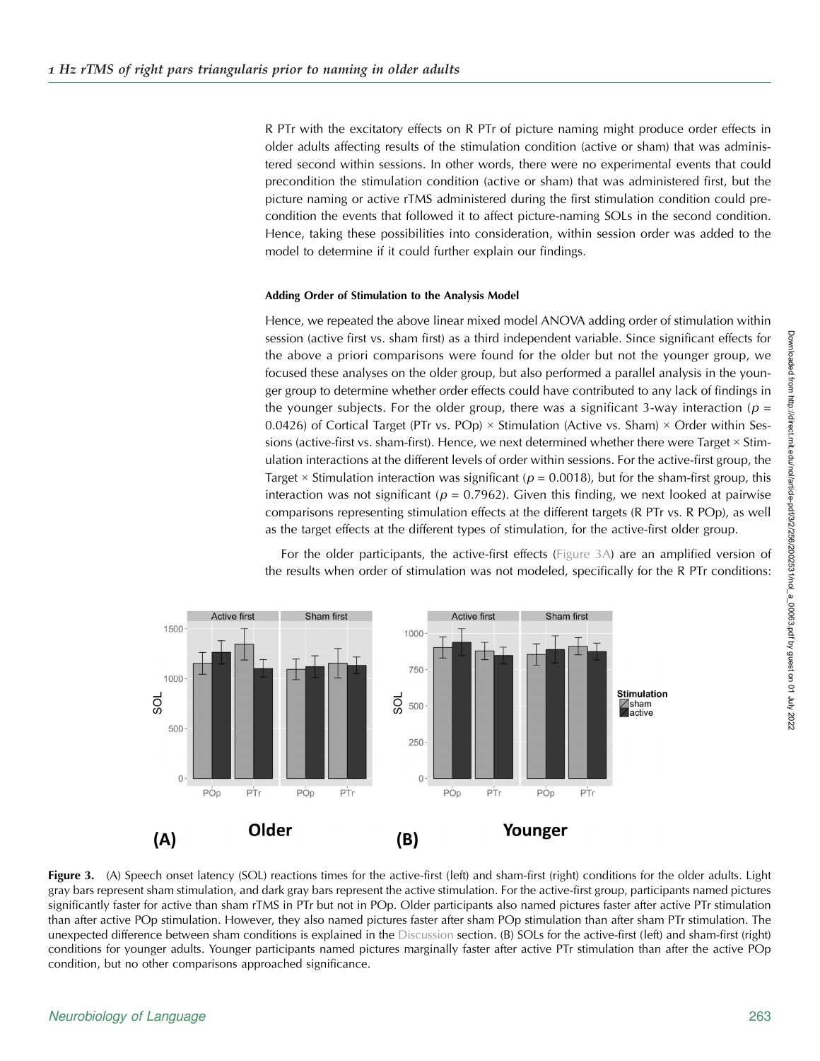<span id="page-7-0"></span>R PTr with the excitatory effects on R PTr of picture naming might produce order effects in older adults affecting results of the stimulation condition (active or sham) that was administered second within sessions. In other words, there were no experimental events that could precondition the stimulation condition (active or sham) that was administered first, but the picture naming or active rTMS administered during the first stimulation condition could precondition the events that followed it to affect picture-naming SOLs in the second condition. Hence, taking these possibilities into consideration, within session order was added to the model to determine if it could further explain our findings.

### Adding Order of Stimulation to the Analysis Model

Hence, we repeated the above linear mixed model ANOVA adding order of stimulation within session (active first vs. sham first) as a third independent variable. Since significant effects for the above a priori comparisons were found for the older but not the younger group, we focused these analyses on the older group, but also performed a parallel analysis in the younger group to determine whether order effects could have contributed to any lack of findings in the younger subjects. For the older group, there was a significant 3-way interaction ( $p =$ 0.0426) of Cortical Target (PTr vs. POp)  $\times$  Stimulation (Active vs. Sham)  $\times$  Order within Sessions (active-first vs. sham-first). Hence, we next determined whether there were Target × Stimulation interactions at the different levels of order within sessions. For the active-first group, the Target  $\times$  Stimulation interaction was significant ( $p = 0.0018$ ), but for the sham-first group, this interaction was not significant ( $p = 0.7962$ ). Given this finding, we next looked at pairwise comparisons representing stimulation effects at the different targets (R PTr vs. R POp), as well as the target effects at the different types of stimulation, for the active-first older group.



For the older participants, the active-first effects (Figure 3A) are an amplified version of the results when order of stimulation was not modeled, specifically for the R PTr conditions:

Figure 3. (A) Speech onset latency (SOL) reactions times for the active-first (left) and sham-first (right) conditions for the older adults. Light gray bars represent sham stimulation, and dark gray bars represent the active stimulation. For the active-first group, participants named pictures significantly faster for active than sham rTMS in PTr but not in POp. Older participants also named pictures faster after active PTr stimulation than after active POp stimulation. However, they also named pictures faster after sham POp stimulation than after sham PTr stimulation. The unexpected difference between sham conditions is explained in the Discussion section. (B) SOLs for the active-first (left) and sham-first (right) conditions for younger adults. Younger participants named pictures marginally faster after active PTr stimulation than after the active POp condition, but no other comparisons approached significance.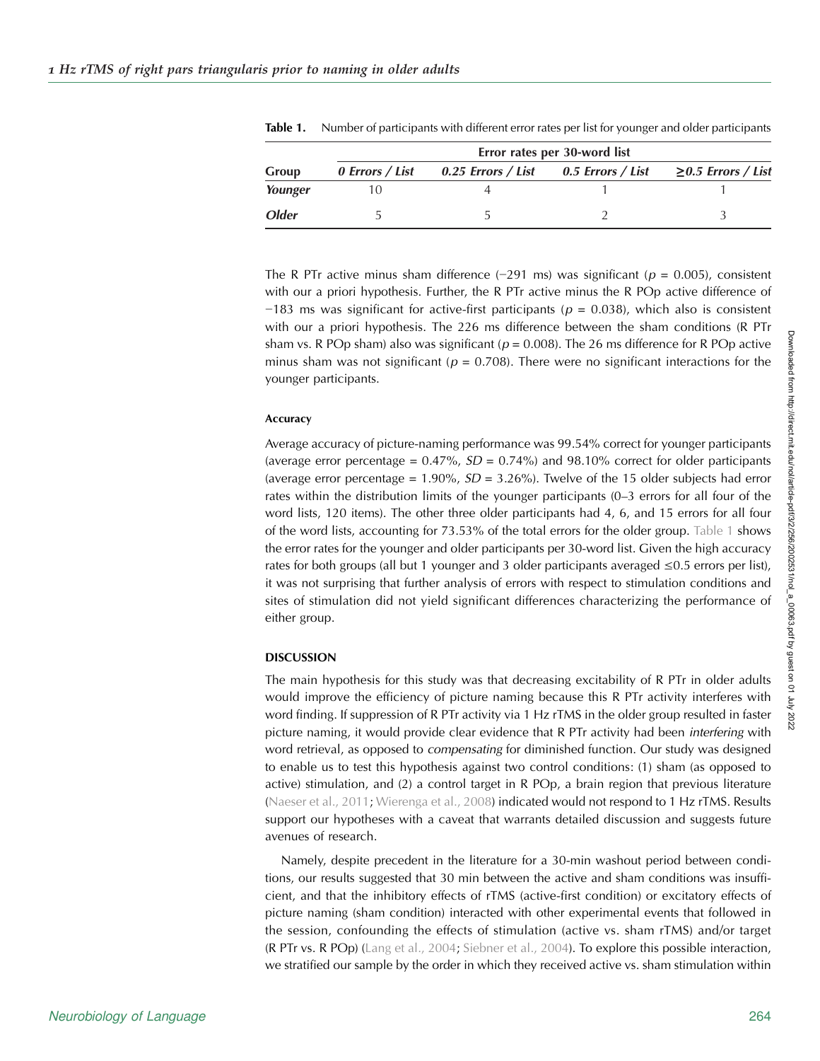|              | Error rates per 30-word list |                                                                               |  |  |
|--------------|------------------------------|-------------------------------------------------------------------------------|--|--|
| Group        |                              | 0 Errors / List 0.25 Errors / List 0.5 Errors / List $\geq$ 0.5 Errors / List |  |  |
| Younger      |                              |                                                                               |  |  |
| <b>Older</b> |                              |                                                                               |  |  |

Table 1. Number of participants with different error rates per list for younger and older participants

The R PTr active minus sham difference (−291 ms) was significant ( $p = 0.005$ ), consistent with our a priori hypothesis. Further, the R PTr active minus the R POp active difference of  $-183$  ms was significant for active-first participants ( $p = 0.038$ ), which also is consistent with our a priori hypothesis. The 226 ms difference between the sham conditions (R PTr sham vs. R POp sham) also was significant ( $p = 0.008$ ). The 26 ms difference for R POp active minus sham was not significant ( $p = 0.708$ ). There were no significant interactions for the younger participants.

## Accuracy

Average accuracy of picture-naming performance was 99.54% correct for younger participants (average error percentage =  $0.47\%$ ,  $SD = 0.74\%$ ) and 98.10% correct for older participants (average error percentage =  $1.90\%$ ,  $SD = 3.26\%$ ). Twelve of the 15 older subjects had error rates within the distribution limits of the younger participants (0–3 errors for all four of the word lists, 120 items). The other three older participants had 4, 6, and 15 errors for all four of the word lists, accounting for 73.53% of the total errors for the older group. Table 1 shows the error rates for the younger and older participants per 30-word list. Given the high accuracy rates for both groups (all but 1 younger and 3 older participants averaged  $\leq 0.5$  errors per list), it was not surprising that further analysis of errors with respect to stimulation conditions and sites of stimulation did not yield significant differences characterizing the performance of either group.

## DISCUSSION

The main hypothesis for this study was that decreasing excitability of R PTr in older adults would improve the efficiency of picture naming because this R PTr activity interferes with word finding. If suppression of R PTr activity via 1 Hz rTMS in the older group resulted in faster picture naming, it would provide clear evidence that R PTr activity had been interfering with word retrieval, as opposed to *compensating* for diminished function. Our study was designed to enable us to test this hypothesis against two control conditions: (1) sham (as opposed to active) stimulation, and (2) a control target in R POp, a brain region that previous literature ([Naeser et al., 2011;](#page-14-0) [Wierenga et al., 2008](#page-15-0)) indicated would not respond to 1 Hz rTMS. Results support our hypotheses with a caveat that warrants detailed discussion and suggests future avenues of research.

Namely, despite precedent in the literature for a 30-min washout period between conditions, our results suggested that 30 min between the active and sham conditions was insufficient, and that the inhibitory effects of rTMS (active-first condition) or excitatory effects of picture naming (sham condition) interacted with other experimental events that followed in the session, confounding the effects of stimulation (active vs. sham rTMS) and/or target (R PTr vs. R POp) ([Lang et al., 2004;](#page-14-0) [Siebner et al., 2004\)](#page-15-0). To explore this possible interaction, we stratified our sample by the order in which they received active vs. sham stimulation within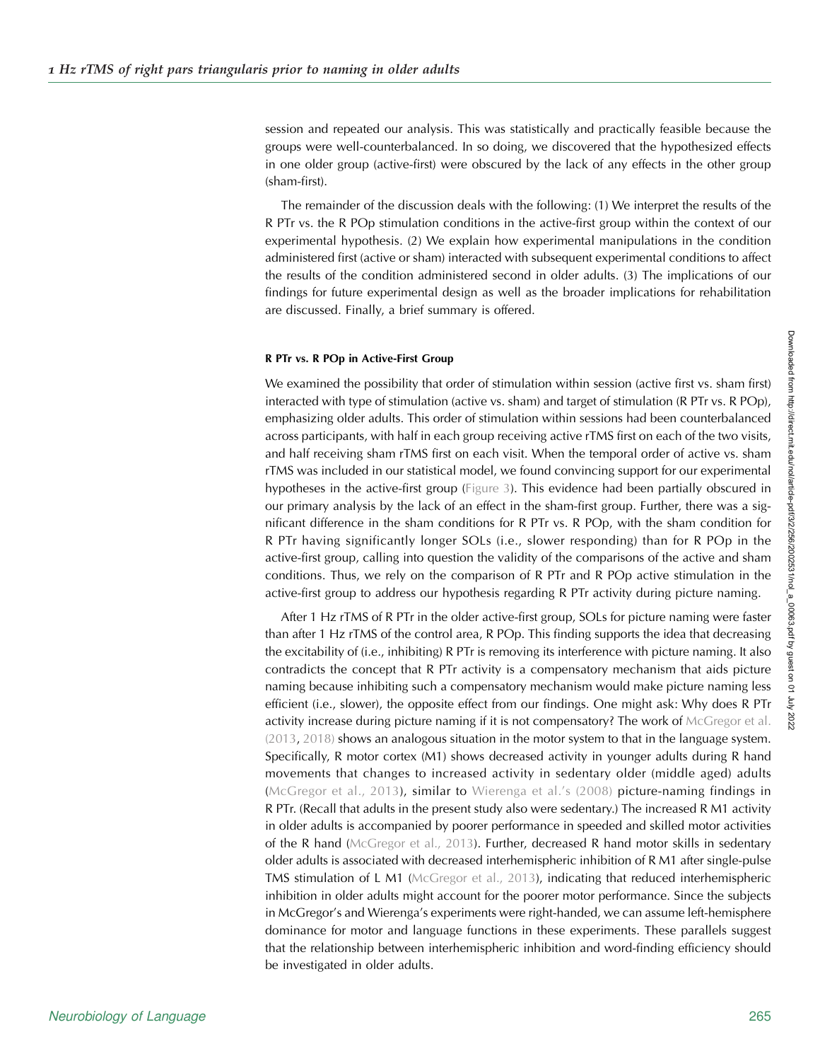session and repeated our analysis. This was statistically and practically feasible because the groups were well-counterbalanced. In so doing, we discovered that the hypothesized effects in one older group (active-first) were obscured by the lack of any effects in the other group (sham-first).

The remainder of the discussion deals with the following: (1) We interpret the results of the R PTr vs. the R POp stimulation conditions in the active-first group within the context of our experimental hypothesis. (2) We explain how experimental manipulations in the condition administered first (active or sham) interacted with subsequent experimental conditions to affect the results of the condition administered second in older adults. (3) The implications of our findings for future experimental design as well as the broader implications for rehabilitation are discussed. Finally, a brief summary is offered.

## R PTr vs. R POp in Active-First Group

We examined the possibility that order of stimulation within session (active first vs. sham first) interacted with type of stimulation (active vs. sham) and target of stimulation (R PTr vs. R POp), emphasizing older adults. This order of stimulation within sessions had been counterbalanced across participants, with half in each group receiving active rTMS first on each of the two visits, and half receiving sham rTMS first on each visit. When the temporal order of active vs. sham rTMS was included in our statistical model, we found convincing support for our experimental hypotheses in the active-first group ([Figure 3](#page-7-0)). This evidence had been partially obscured in our primary analysis by the lack of an effect in the sham-first group. Further, there was a significant difference in the sham conditions for R PTr vs. R POp, with the sham condition for R PTr having significantly longer SOLs (i.e., slower responding) than for R POp in the active-first group, calling into question the validity of the comparisons of the active and sham conditions. Thus, we rely on the comparison of R PTr and R POp active stimulation in the active-first group to address our hypothesis regarding R PTr activity during picture naming.

After 1 Hz rTMS of R PTr in the older active-first group, SOLs for picture naming were faster than after 1 Hz rTMS of the control area, R POp. This finding supports the idea that decreasing the excitability of (i.e., inhibiting) R PTr is removing its interference with picture naming. It also contradicts the concept that R PTr activity is a compensatory mechanism that aids picture naming because inhibiting such a compensatory mechanism would make picture naming less efficient (i.e., slower), the opposite effect from our findings. One might ask: Why does R PTr activity increase during picture naming if it is not compensatory? The work of [McGregor et al.](#page-14-0) [\(2013](#page-14-0), [2018\)](#page-14-0) shows an analogous situation in the motor system to that in the language system. Specifically, R motor cortex (M1) shows decreased activity in younger adults during R hand movements that changes to increased activity in sedentary older (middle aged) adults ([McGregor et al., 2013\)](#page-14-0), similar to [Wierenga et al.](#page-15-0)'s (2008) picture-naming findings in R PTr. (Recall that adults in the present study also were sedentary.) The increased R M1 activity in older adults is accompanied by poorer performance in speeded and skilled motor activities of the R hand [\(McGregor et al., 2013\)](#page-14-0). Further, decreased R hand motor skills in sedentary older adults is associated with decreased interhemispheric inhibition of R M1 after single-pulse TMS stimulation of L M1 ([McGregor et al., 2013](#page-14-0)), indicating that reduced interhemispheric inhibition in older adults might account for the poorer motor performance. Since the subjects in McGregor's and Wierenga's experiments were right-handed, we can assume left-hemisphere dominance for motor and language functions in these experiments. These parallels suggest that the relationship between interhemispheric inhibition and word-finding efficiency should be investigated in older adults.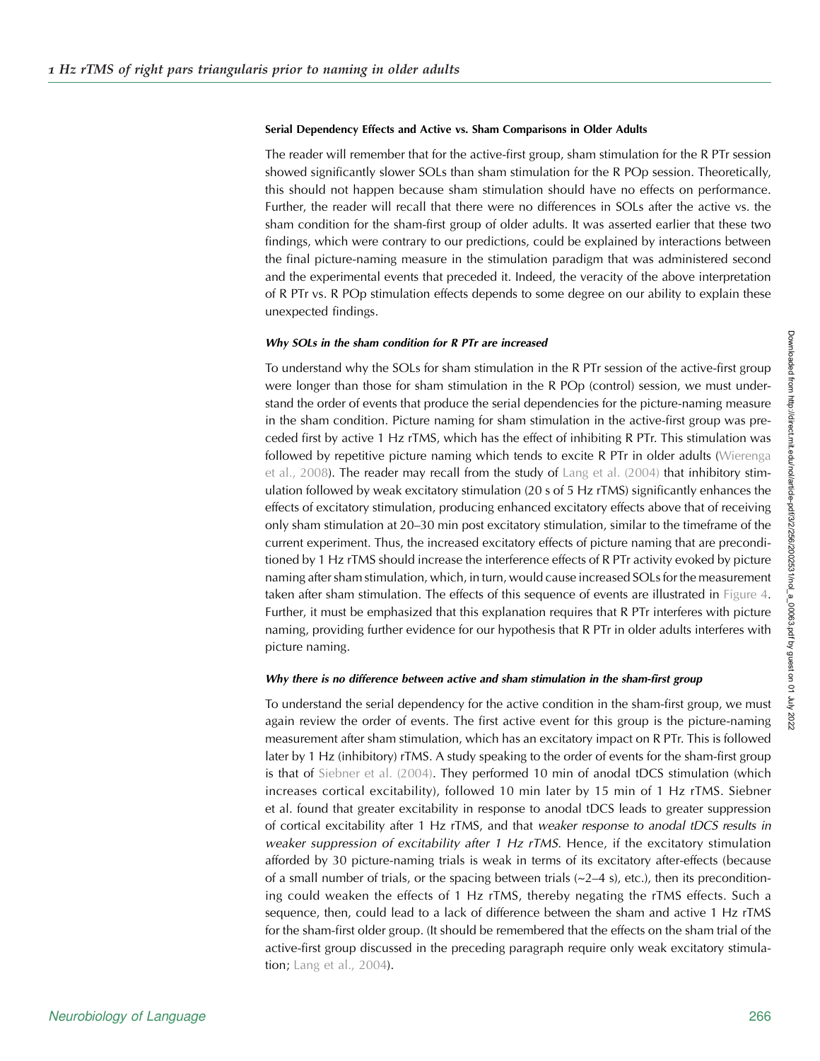## Serial Dependency Effects and Active vs. Sham Comparisons in Older Adults

The reader will remember that for the active-first group, sham stimulation for the R PTr session showed significantly slower SOLs than sham stimulation for the R POp session. Theoretically, this should not happen because sham stimulation should have no effects on performance. Further, the reader will recall that there were no differences in SOLs after the active vs. the sham condition for the sham-first group of older adults. It was asserted earlier that these two findings, which were contrary to our predictions, could be explained by interactions between the final picture-naming measure in the stimulation paradigm that was administered second and the experimental events that preceded it. Indeed, the veracity of the above interpretation of R PTr vs. R POp stimulation effects depends to some degree on our ability to explain these unexpected findings.

#### Why SOLs in the sham condition for R PTr are increased

To understand why the SOLs for sham stimulation in the R PTr session of the active-first group were longer than those for sham stimulation in the R POp (control) session, we must understand the order of events that produce the serial dependencies for the picture-naming measure in the sham condition. Picture naming for sham stimulation in the active-first group was preceded first by active 1 Hz rTMS, which has the effect of inhibiting R PTr. This stimulation was followed by repetitive picture naming which tends to excite R PTr in older adults ([Wierenga](#page-15-0) [et al., 2008](#page-15-0)). The reader may recall from the study of [Lang et al. \(2004\)](#page-14-0) that inhibitory stimulation followed by weak excitatory stimulation (20 s of 5 Hz rTMS) significantly enhances the effects of excitatory stimulation, producing enhanced excitatory effects above that of receiving only sham stimulation at 20–30 min post excitatory stimulation, similar to the timeframe of the current experiment. Thus, the increased excitatory effects of picture naming that are preconditioned by 1 Hz rTMS should increase the interference effects of R PTr activity evoked by picture naming after sham stimulation, which, in turn, would cause increased SOLs for the measurement taken after sham stimulation. The effects of this sequence of events are illustrated in [Figure 4](#page-11-0). Further, it must be emphasized that this explanation requires that R PTr interferes with picture naming, providing further evidence for our hypothesis that R PTr in older adults interferes with picture naming.

## Why there is no difference between active and sham stimulation in the sham-first group

To understand the serial dependency for the active condition in the sham-first group, we must again review the order of events. The first active event for this group is the picture-naming measurement after sham stimulation, which has an excitatory impact on R PTr. This is followed later by 1 Hz (inhibitory) rTMS. A study speaking to the order of events for the sham-first group is that of [Siebner et al. \(2004\)](#page-15-0). They performed 10 min of anodal tDCS stimulation (which increases cortical excitability), followed 10 min later by 15 min of 1 Hz rTMS. Siebner et al. found that greater excitability in response to anodal tDCS leads to greater suppression of cortical excitability after 1 Hz rTMS, and that weaker response to anodal tDCS results in weaker suppression of excitability after 1 Hz rTMS. Hence, if the excitatory stimulation afforded by 30 picture-naming trials is weak in terms of its excitatory after-effects (because of a small number of trials, or the spacing between trials  $(\sim 2-4 \text{ s})$ , etc.), then its preconditioning could weaken the effects of 1 Hz rTMS, thereby negating the rTMS effects. Such a sequence, then, could lead to a lack of difference between the sham and active 1 Hz rTMS for the sham-first older group. (It should be remembered that the effects on the sham trial of the active-first group discussed in the preceding paragraph require only weak excitatory stimula-tion; [Lang et al., 2004](#page-14-0)).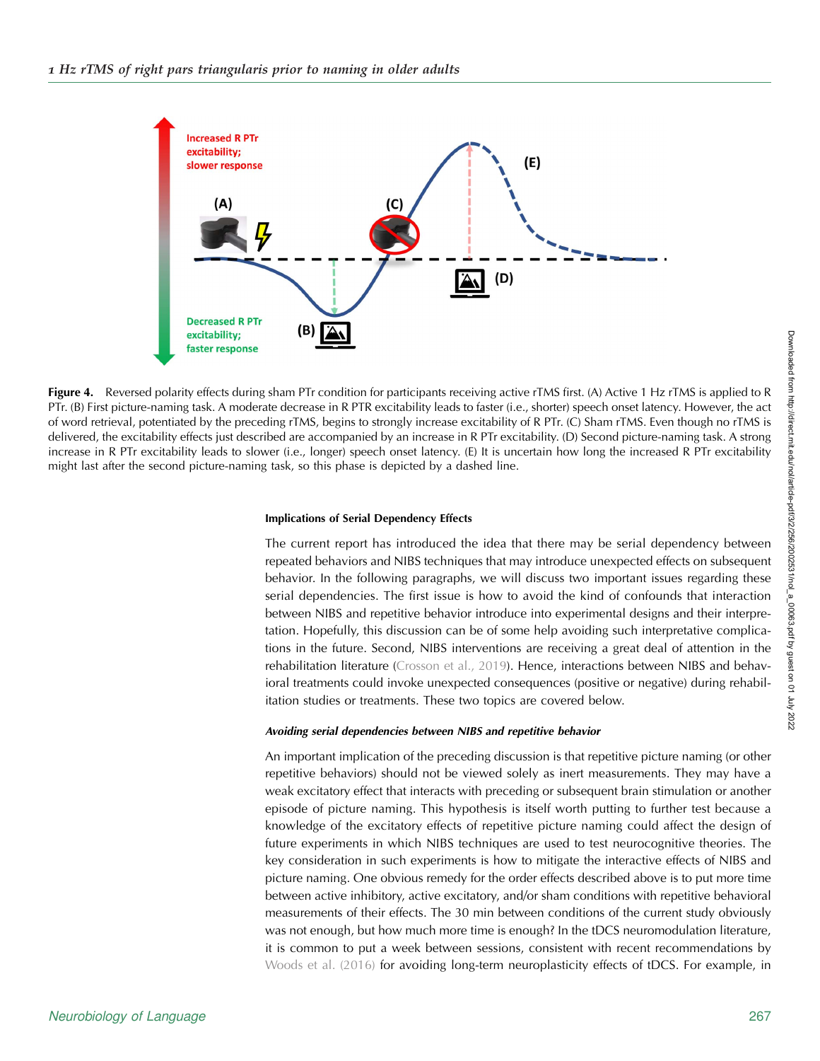<span id="page-11-0"></span>

Figure 4. Reversed polarity effects during sham PTr condition for participants receiving active rTMS first. (A) Active 1 Hz rTMS is applied to R PTr. (B) First picture-naming task. A moderate decrease in R PTR excitability leads to faster (i.e., shorter) speech onset latency. However, the act of word retrieval, potentiated by the preceding rTMS, begins to strongly increase excitability of R PTr. (C) Sham rTMS. Even though no rTMS is delivered, the excitability effects just described are accompanied by an increase in R PTr excitability. (D) Second picture-naming task. A strong increase in R PTr excitability leads to slower (i.e., longer) speech onset latency. (E) It is uncertain how long the increased R PTr excitability might last after the second picture-naming task, so this phase is depicted by a dashed line.

#### Implications of Serial Dependency Effects

The current report has introduced the idea that there may be serial dependency between repeated behaviors and NIBS techniques that may introduce unexpected effects on subsequent behavior. In the following paragraphs, we will discuss two important issues regarding these serial dependencies. The first issue is how to avoid the kind of confounds that interaction between NIBS and repetitive behavior introduce into experimental designs and their interpretation. Hopefully, this discussion can be of some help avoiding such interpretative complications in the future. Second, NIBS interventions are receiving a great deal of attention in the rehabilitation literature [\(Crosson et al., 2019](#page-13-0)). Hence, interactions between NIBS and behavioral treatments could invoke unexpected consequences (positive or negative) during rehabilitation studies or treatments. These two topics are covered below.

## Avoiding serial dependencies between NIBS and repetitive behavior

An important implication of the preceding discussion is that repetitive picture naming (or other repetitive behaviors) should not be viewed solely as inert measurements. They may have a weak excitatory effect that interacts with preceding or subsequent brain stimulation or another episode of picture naming. This hypothesis is itself worth putting to further test because a knowledge of the excitatory effects of repetitive picture naming could affect the design of future experiments in which NIBS techniques are used to test neurocognitive theories. The key consideration in such experiments is how to mitigate the interactive effects of NIBS and picture naming. One obvious remedy for the order effects described above is to put more time between active inhibitory, active excitatory, and/or sham conditions with repetitive behavioral measurements of their effects. The 30 min between conditions of the current study obviously was not enough, but how much more time is enough? In the tDCS neuromodulation literature, it is common to put a week between sessions, consistent with recent recommendations by [Woods et al. \(2016\)](#page-15-0) for avoiding long-term neuroplasticity effects of tDCS. For example, in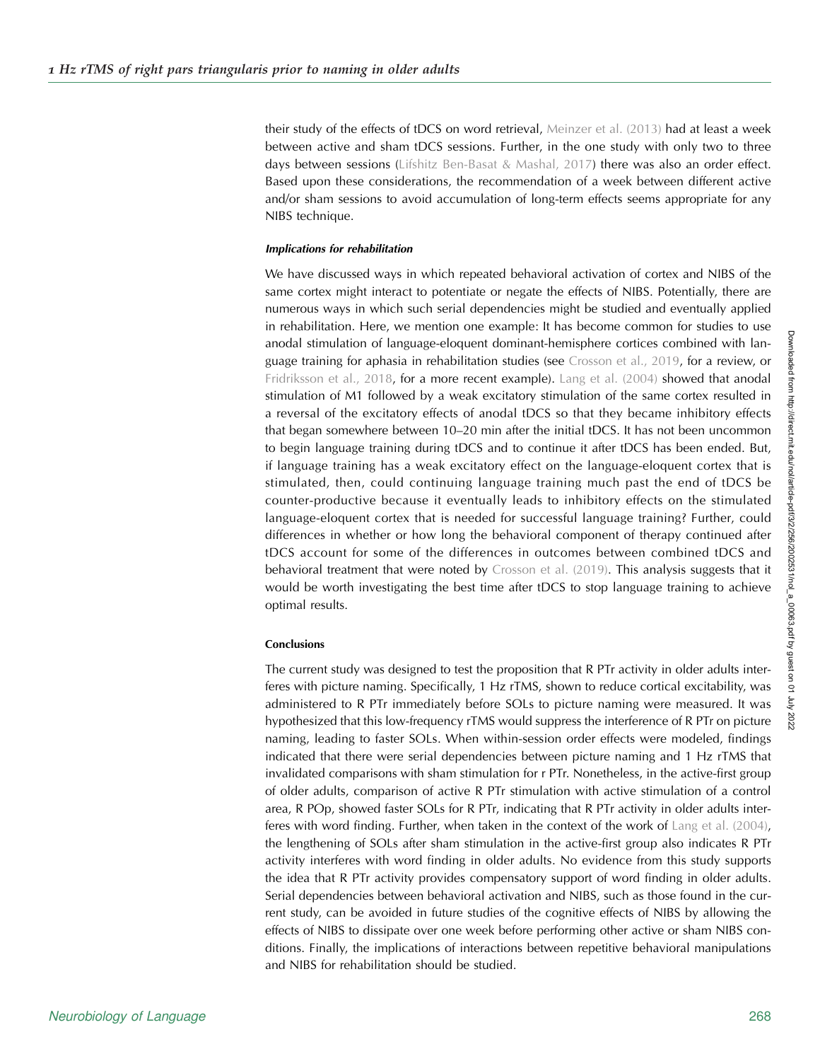their study of the effects of tDCS on word retrieval, [Meinzer et al. \(2013\)](#page-14-0) had at least a week between active and sham tDCS sessions. Further, in the one study with only two to three days between sessions ([Lifshitz Ben-Basat & Mashal, 2017](#page-14-0)) there was also an order effect. Based upon these considerations, the recommendation of a week between different active and/or sham sessions to avoid accumulation of long-term effects seems appropriate for any NIBS technique.

### Implications for rehabilitation

We have discussed ways in which repeated behavioral activation of cortex and NIBS of the same cortex might interact to potentiate or negate the effects of NIBS. Potentially, there are numerous ways in which such serial dependencies might be studied and eventually applied in rehabilitation. Here, we mention one example: It has become common for studies to use anodal stimulation of language-eloquent dominant-hemisphere cortices combined with language training for aphasia in rehabilitation studies (see [Crosson et al., 2019,](#page-13-0) for a review, or [Fridriksson et al., 2018](#page-14-0), for a more recent example). [Lang et al. \(2004\)](#page-14-0) showed that anodal stimulation of M1 followed by a weak excitatory stimulation of the same cortex resulted in a reversal of the excitatory effects of anodal tDCS so that they became inhibitory effects that began somewhere between 10–20 min after the initial tDCS. It has not been uncommon to begin language training during tDCS and to continue it after tDCS has been ended. But, if language training has a weak excitatory effect on the language-eloquent cortex that is stimulated, then, could continuing language training much past the end of tDCS be counter-productive because it eventually leads to inhibitory effects on the stimulated language-eloquent cortex that is needed for successful language training? Further, could differences in whether or how long the behavioral component of therapy continued after tDCS account for some of the differences in outcomes between combined tDCS and behavioral treatment that were noted by [Crosson et al. \(2019\)](#page-13-0). This analysis suggests that it would be worth investigating the best time after tDCS to stop language training to achieve optimal results.

## **Conclusions**

The current study was designed to test the proposition that R PTr activity in older adults interferes with picture naming. Specifically, 1 Hz rTMS, shown to reduce cortical excitability, was administered to R PTr immediately before SOLs to picture naming were measured. It was hypothesized that this low-frequency rTMS would suppress the interference of R PTr on picture naming, leading to faster SOLs. When within-session order effects were modeled, findings indicated that there were serial dependencies between picture naming and 1 Hz rTMS that invalidated comparisons with sham stimulation for r PTr. Nonetheless, in the active-first group of older adults, comparison of active R PTr stimulation with active stimulation of a control area, R POp, showed faster SOLs for R PTr, indicating that R PTr activity in older adults inter-feres with word finding. Further, when taken in the context of the work of [Lang et al. \(2004\)](#page-14-0), the lengthening of SOLs after sham stimulation in the active-first group also indicates R PTr activity interferes with word finding in older adults. No evidence from this study supports the idea that R PTr activity provides compensatory support of word finding in older adults. Serial dependencies between behavioral activation and NIBS, such as those found in the current study, can be avoided in future studies of the cognitive effects of NIBS by allowing the effects of NIBS to dissipate over one week before performing other active or sham NIBS conditions. Finally, the implications of interactions between repetitive behavioral manipulations and NIBS for rehabilitation should be studied.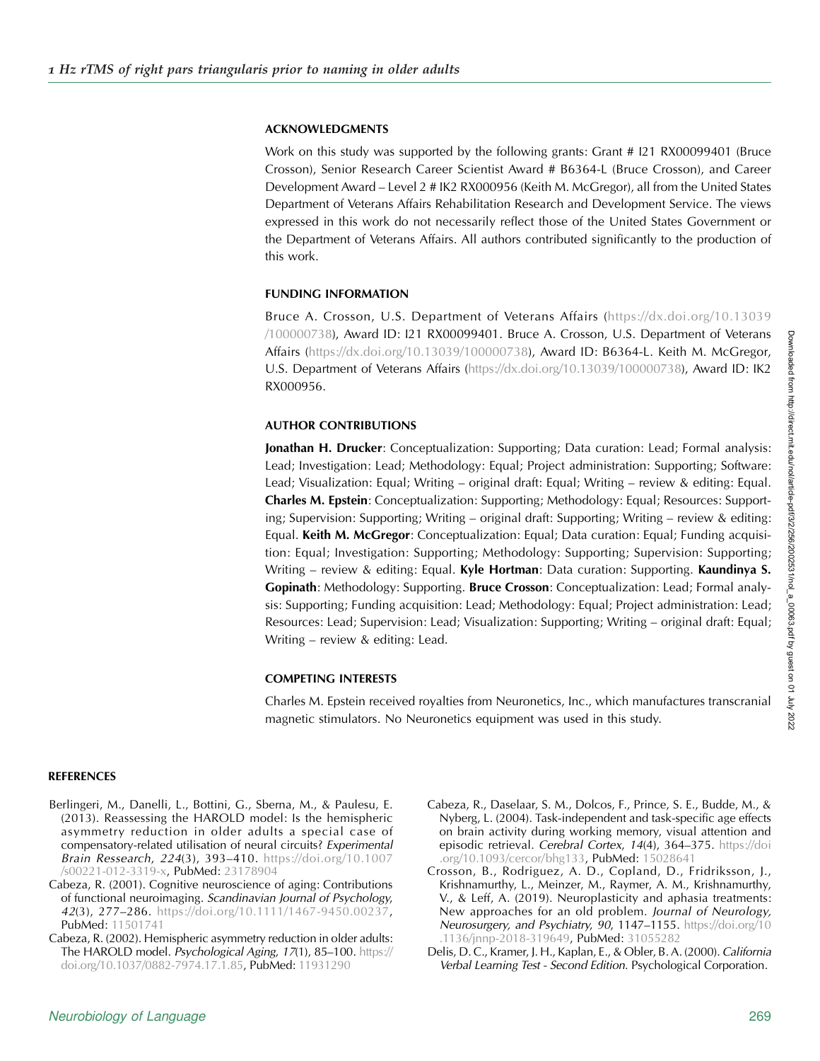## <span id="page-13-0"></span>ACKNOWLEDGMENTS

Work on this study was supported by the following grants: Grant # I21 RX00099401 (Bruce Crosson), Senior Research Career Scientist Award # B6364-L (Bruce Crosson), and Career Development Award – Level 2 # IK2 RX000956 (Keith M. McGregor), all from the United States Department of Veterans Affairs Rehabilitation Research and Development Service. The views expressed in this work do not necessarily reflect those of the United States Government or the Department of Veterans Affairs. All authors contributed significantly to the production of this work.

## FUNDING INFORMATION

Bruce A. Crosson, U.S. Department of Veterans Affairs ([https://dx.doi.org/10.13039](http://dx.doi.org/10.13039/100000738) [/100000738](http://dx.doi.org/10.13039/100000738)), Award ID: I21 RX00099401. Bruce A. Crosson, U.S. Department of Veterans Affairs ([https://dx.doi.org/10.13039/100000738\)](http://dx.doi.org/10.13039/100000738), Award ID: B6364-L. Keith M. McGregor, U.S. Department of Veterans Affairs ([https://dx.doi.org/10.13039/100000738\)](http://dx.doi.org/10.13039/100000738), Award ID: IK2 RX000956.

## AUTHOR CONTRIBUTIONS

Jonathan H. Drucker: Conceptualization: Supporting; Data curation: Lead; Formal analysis: Lead; Investigation: Lead; Methodology: Equal; Project administration: Supporting; Software: Lead; Visualization: Equal; Writing – original draft: Equal; Writing – review & editing: Equal. Charles M. Epstein: Conceptualization: Supporting; Methodology: Equal; Resources: Supporting; Supervision: Supporting; Writing – original draft: Supporting; Writing – review & editing: Equal. Keith M. McGregor: Conceptualization: Equal; Data curation: Equal; Funding acquisition: Equal; Investigation: Supporting; Methodology: Supporting; Supervision: Supporting; Writing – review & editing: Equal. Kyle Hortman: Data curation: Supporting. Kaundinya S. Gopinath: Methodology: Supporting. Bruce Crosson: Conceptualization: Lead; Formal analysis: Supporting; Funding acquisition: Lead; Methodology: Equal; Project administration: Lead; Resources: Lead; Supervision: Lead; Visualization: Supporting; Writing – original draft: Equal; Writing – review & editing: Lead.

## COMPETING INTERESTS

Charles M. Epstein received royalties from Neuronetics, Inc., which manufactures transcranial magnetic stimulators. No Neuronetics equipment was used in this study.

## REFERENCES

- Berlingeri, M., Danelli, L., Bottini, G., Sberna, M., & Paulesu, E. (2013). Reassessing the HAROLD model: Is the hemispheric asymmetry reduction in older adults a special case of compensatory-related utilisation of neural circuits? Experimental Brain Ressearch, 224(3), 393–410. [https://doi.org/10.1007](https://doi.org/10.1007/s00221-012-3319-x) [/s00221-012-3319-x](https://doi.org/10.1007/s00221-012-3319-x), PubMed: [23178904](https://pubmed.ncbi.nlm.nih.gov/23178904)
- Cabeza, R. (2001). Cognitive neuroscience of aging: Contributions of functional neuroimaging. Scandinavian Journal of Psychology, 42(3), 277–286. [https://doi.org/10.1111/1467-9450.00237,](https://doi.org/10.1111/1467-9450.00237) PubMed: [11501741](https://pubmed.ncbi.nlm.nih.gov/11501741)
- Cabeza, R. (2002). Hemispheric asymmetry reduction in older adults: The HAROLD model. Psychological Aging, 17(1), 85–100. [https://](https://doi.org/10.1037/0882-7974.17.1.85) [doi.org/10.1037/0882-7974.17.1.85,](https://doi.org/10.1037/0882-7974.17.1.85) PubMed: [11931290](https://pubmed.ncbi.nlm.nih.gov/11931290)
- Cabeza, R., Daselaar, S. M., Dolcos, F., Prince, S. E., Budde, M., & Nyberg, L. (2004). Task-independent and task-specific age effects on brain activity during working memory, visual attention and episodic retrieval. Cerebral Cortex, 14(4), 364–375. [https://doi](https://doi.org/10.1093/cercor/bhg133) [.org/10.1093/cercor/bhg133,](https://doi.org/10.1093/cercor/bhg133) PubMed: [15028641](https://pubmed.ncbi.nlm.nih.gov/15028641)
- Crosson, B., Rodriguez, A. D., Copland, D., Fridriksson, J., Krishnamurthy, L., Meinzer, M., Raymer, A. M., Krishnamurthy, V., & Leff, A. (2019). Neuroplasticity and aphasia treatments: New approaches for an old problem. Journal of Neurology, Neurosurgery, and Psychiatry, 90, 1147-1155. [https://doi.org/10](https://doi.org/10.1136/jnnp-2018-319649) [.1136/jnnp-2018-319649,](https://doi.org/10.1136/jnnp-2018-319649) PubMed: [31055282](https://pubmed.ncbi.nlm.nih.gov/31055282)
- Delis, D. C., Kramer, J. H., Kaplan, E., & Obler, B. A. (2000). California Verbal Learning Test - Second Edition. Psychological Corporation.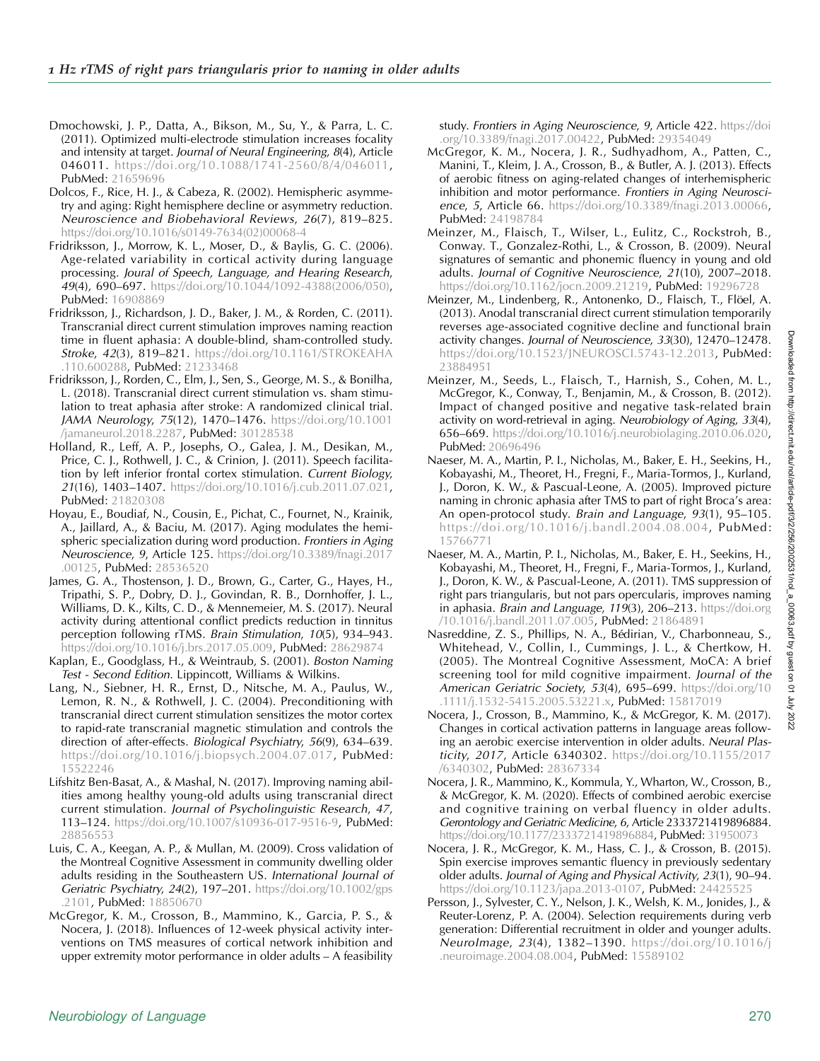- <span id="page-14-0"></span>Dmochowski, J. P., Datta, A., Bikson, M., Su, Y., & Parra, L. C. (2011). Optimized multi-electrode stimulation increases focality and intensity at target. Journal of Neural Engineering, 8(4), Article 046011. [https://doi.org/10.1088/1741-2560/8/4/046011,](https://doi.org/10.1088/1741-2560/8/4/046011) PubMed: [21659696](https://pubmed.ncbi.nlm.nih.gov/21659696)
- Dolcos, F., Rice, H. J., & Cabeza, R. (2002). Hemispheric asymmetry and aging: Right hemisphere decline or asymmetry reduction. Neuroscience and Biobehavioral Reviews, 26(7), 819–825. [https://doi.org/10.1016/s0149-7634\(02\)00068-4](https://doi.org/10.1016/s0149-7634(02)00068-4)
- Fridriksson, J., Morrow, K. L., Moser, D., & Baylis, G. C. (2006). Age-related variability in cortical activity during language processing. Joural of Speech, Language, and Hearing Research, 49(4), 690–697. [https://doi.org/10.1044/1092-4388\(2006/050\),](https://doi.org/10.1044/1092-4388(2006/050)) PubMed: [16908869](https://pubmed.ncbi.nlm.nih.gov/16908869)
- Fridriksson, J., Richardson, J. D., Baker, J. M., & Rorden, C. (2011). Transcranial direct current stimulation improves naming reaction time in fluent aphasia: A double-blind, sham-controlled study. Stroke, 42(3), 819–821. [https://doi.org/10.1161/STROKEAHA](https://doi.org/10.1161/STROKEAHA.110.600288) 110.600288, PubMed: [21233468](https://pubmed.ncbi.nlm.nih.gov/21233468)
- Fridriksson, J., Rorden, C., Elm, J., Sen, S., George, M. S., & Bonilha, L. (2018). Transcranial direct current stimulation vs. sham stimulation to treat aphasia after stroke: A randomized clinical trial. JAMA Neurology, 75(12), 1470–1476. [https://doi.org/10.1001](https://doi.org/10.1001/jamaneurol.2018.2287) [/jamaneurol.2018.2287](https://doi.org/10.1001/jamaneurol.2018.2287), PubMed: [30128538](https://pubmed.ncbi.nlm.nih.gov/30128538)
- Holland, R., Leff, A. P., Josephs, O., Galea, J. M., Desikan, M., Price, C. J., Rothwell, J. C., & Crinion, J. (2011). Speech facilitation by left inferior frontal cortex stimulation. Current Biology, 21(16), 1403–1407. [https://doi.org/10.1016/j.cub.2011.07.021,](https://doi.org/10.1016/j.cub.2011.07.021) PubMed: [21820308](https://pubmed.ncbi.nlm.nih.gov/21820308)
- Hoyau, E., Boudiaf, N., Cousin, E., Pichat, C., Fournet, N., Krainik, A., Jaillard, A., & Baciu, M. (2017). Aging modulates the hemispheric specialization during word production. Frontiers in Aging Neuroscience, 9, Article 125. [https://doi.org/10.3389/fnagi.2017](https://doi.org/10.3389/fnagi.2017.00125) [.00125,](https://doi.org/10.3389/fnagi.2017.00125) PubMed: [28536520](https://pubmed.ncbi.nlm.nih.gov/28536520)
- James, G. A., Thostenson, J. D., Brown, G., Carter, G., Hayes, H., Tripathi, S. P., Dobry, D. J., Govindan, R. B., Dornhoffer, J. L., Williams, D. K., Kilts, C. D., & Mennemeier, M. S. (2017). Neural activity during attentional conflict predicts reduction in tinnitus perception following rTMS. Brain Stimulation, 10(5), 934–943. [https://doi.org/10.1016/j.brs.2017.05.009,](https://doi.org/10.1016/j.brs.2017.05.009) PubMed: [28629874](https://pubmed.ncbi.nlm.nih.gov/28629874)
- Kaplan, E., Goodglass, H., & Weintraub, S. (2001). Boston Naming Test - Second Edition. Lippincott, Williams & Wilkins.
- Lang, N., Siebner, H. R., Ernst, D., Nitsche, M. A., Paulus, W., Lemon, R. N., & Rothwell, J. C. (2004). Preconditioning with transcranial direct current stimulation sensitizes the motor cortex to rapid-rate transcranial magnetic stimulation and controls the direction of after-effects. Biological Psychiatry, 56(9), 634–639. [https://doi.org/10.1016/j.biopsych.2004.07.017,](https://doi.org/10.1016/j.biopsych.2004.07.017) PubMed: [15522246](https://pubmed.ncbi.nlm.nih.gov/15522246)
- Lifshitz Ben-Basat, A., & Mashal, N. (2017). Improving naming abilities among healthy young-old adults using transcranial direct current stimulation. Journal of Psycholinguistic Research, 47, 113–124. [https://doi.org/10.1007/s10936-017-9516-9,](https://doi.org/10.1007/s10936-017-9516-9) PubMed: [28856553](https://pubmed.ncbi.nlm.nih.gov/28856553)
- Luis, C. A., Keegan, A. P., & Mullan, M. (2009). Cross validation of the Montreal Cognitive Assessment in community dwelling older adults residing in the Southeastern US. International Journal of Geriatric Psychiatry, 24(2), 197–201. [https://doi.org/10.1002/gps](https://doi.org/10.1002/gps.2101) [.2101,](https://doi.org/10.1002/gps.2101) PubMed: [18850670](https://pubmed.ncbi.nlm.nih.gov/18850670)
- McGregor, K. M., Crosson, B., Mammino, K., Garcia, P. S., & Nocera, J. (2018). Influences of 12-week physical activity interventions on TMS measures of cortical network inhibition and upper extremity motor performance in older adults – A feasibility

study. Frontiers in Aging Neuroscience, 9, Article 422. [https://doi](https://doi.org/10.3389/fnagi.2017.00422) [.org/10.3389/fnagi.2017.00422,](https://doi.org/10.3389/fnagi.2017.00422) PubMed: [29354049](https://pubmed.ncbi.nlm.nih.gov/29354049)

- McGregor, K. M., Nocera, J. R., Sudhyadhom, A., Patten, C., Manini, T., Kleim, J. A., Crosson, B., & Butler, A. J. (2013). Effects of aerobic fitness on aging-related changes of interhemispheric inhibition and motor performance. Frontiers in Aging Neuroscience, 5, Article 66. [https://doi.org/10.3389/fnagi.2013.00066,](https://doi.org/10.3389/fnagi.2013.00066) PubMed: [24198784](https://pubmed.ncbi.nlm.nih.gov/24198784)
- Meinzer, M., Flaisch, T., Wilser, L., Eulitz, C., Rockstroh, B., Conway. T., Gonzalez-Rothi, L., & Crosson, B. (2009). Neural signatures of semantic and phonemic fluency in young and old adults. Journal of Cognitive Neuroscience, 21(10), 2007–2018. <https://doi.org/10.1162/jocn.2009.21219>, PubMed: [19296728](https://pubmed.ncbi.nlm.nih.gov/19296728)
- Meinzer, M., Lindenberg, R., Antonenko, D., Flaisch, T., Flöel, A. (2013). Anodal transcranial direct current stimulation temporarily reverses age-associated cognitive decline and functional brain activity changes. Journal of Neuroscience, 33(30), 12470–12478. [https://doi.org/10.1523/JNEUROSCI.5743-12.2013,](https://doi.org/10.1523/JNEUROSCI.5743-12.2013) PubMed: [23884951](https://pubmed.ncbi.nlm.nih.gov/23884951)
- Meinzer, M., Seeds, L., Flaisch, T., Harnish, S., Cohen, M. L., McGregor, K., Conway, T., Benjamin, M., & Crosson, B. (2012). Impact of changed positive and negative task-related brain activity on word-retrieval in aging. Neurobiology of Aging, 33(4), 656–669. [https://doi.org/10.1016/j.neurobiolaging.2010.06.020,](https://doi.org/10.1016/j.neurobiolaging.2010.06.020) PubMed: [20696496](https://pubmed.ncbi.nlm.nih.gov/20696496)
- Naeser, M. A., Martin, P. I., Nicholas, M., Baker, E. H., Seekins, H., Kobayashi, M., Theoret, H., Fregni, F., Maria-Tormos, J., Kurland, J., Doron, K. W., & Pascual-Leone, A. (2005). Improved picture naming in chronic aphasia after TMS to part of right Broca's area: An open-protocol study. Brain and Language, 93(1), 95–105. <https://doi.org/10.1016/j.bandl.2004.08.004>, PubMed: [15766771](https://pubmed.ncbi.nlm.nih.gov/15766771)
- Naeser, M. A., Martin, P. I., Nicholas, M., Baker, E. H., Seekins, H., Kobayashi, M., Theoret, H., Fregni, F., Maria-Tormos, J., Kurland, J., Doron, K. W., & Pascual-Leone, A. (2011). TMS suppression of right pars triangularis, but not pars opercularis, improves naming in aphasia. Brain and Language, 119(3), 206–213. [https://doi.org](https://doi.org/10.1016/j.bandl.2011.07.005) [/10.1016/j.bandl.2011.07.005,](https://doi.org/10.1016/j.bandl.2011.07.005) PubMed: [21864891](https://pubmed.ncbi.nlm.nih.gov/21864891)
- Nasreddine, Z. S., Phillips, N. A., Bédirian, V., Charbonneau, S., Whitehead, V., Collin, I., Cummings, J. L., & Chertkow, H. (2005). The Montreal Cognitive Assessment, MoCA: A brief screening tool for mild cognitive impairment. Journal of the American Geriatric Society, 53(4), 695–699. [https://doi.org/10](https://doi.org/10.1111/j.1532-5415.2005.53221.x) [.1111/j.1532-5415.2005.53221.x](https://doi.org/10.1111/j.1532-5415.2005.53221.x), PubMed: [15817019](https://pubmed.ncbi.nlm.nih.gov/15817019)
- Nocera, J., Crosson, B., Mammino, K., & McGregor, K. M. (2017). Changes in cortical activation patterns in language areas following an aerobic exercise intervention in older adults. Neural Plasticity, 2017, Article 6340302. [https://doi.org/10.1155/2017](https://doi.org/10.1155/2017/6340302) [/6340302](https://doi.org/10.1155/2017/6340302), PubMed: [28367334](https://pubmed.ncbi.nlm.nih.gov/28367334)
- Nocera, J. R., Mammino, K., Kommula, Y., Wharton, W., Crosson, B., & McGregor, K. M. (2020). Effects of combined aerobic exercise and cognitive training on verbal fluency in older adults. Gerontology and Geriatric Medicine, 6, Article 2333721419896884. <https://doi.org/10.1177/2333721419896884>, PubMed: [31950073](https://pubmed.ncbi.nlm.nih.gov/31950073)
- Nocera, J. R., McGregor, K. M., Hass, C. J., & Crosson, B. (2015). Spin exercise improves semantic fluency in previously sedentary older adults. Journal of Aging and Physical Activity, 23(1), 90–94. <https://doi.org/10.1123/japa.2013-0107>, PubMed: [24425525](https://pubmed.ncbi.nlm.nih.gov/24425525)
- Persson, J., Sylvester, C. Y., Nelson, J. K., Welsh, K. M., Jonides, J., & Reuter-Lorenz, P. A. (2004). Selection requirements during verb generation: Differential recruitment in older and younger adults. NeuroImage, 23(4), 1382–1390. [https://doi.org/10.1016/j](https://doi.org/10.1016/j.neuroimage.2004.08.004) [.neuroimage.2004.08.004](https://doi.org/10.1016/j.neuroimage.2004.08.004), PubMed: [15589102](https://pubmed.ncbi.nlm.nih.gov/15589102)